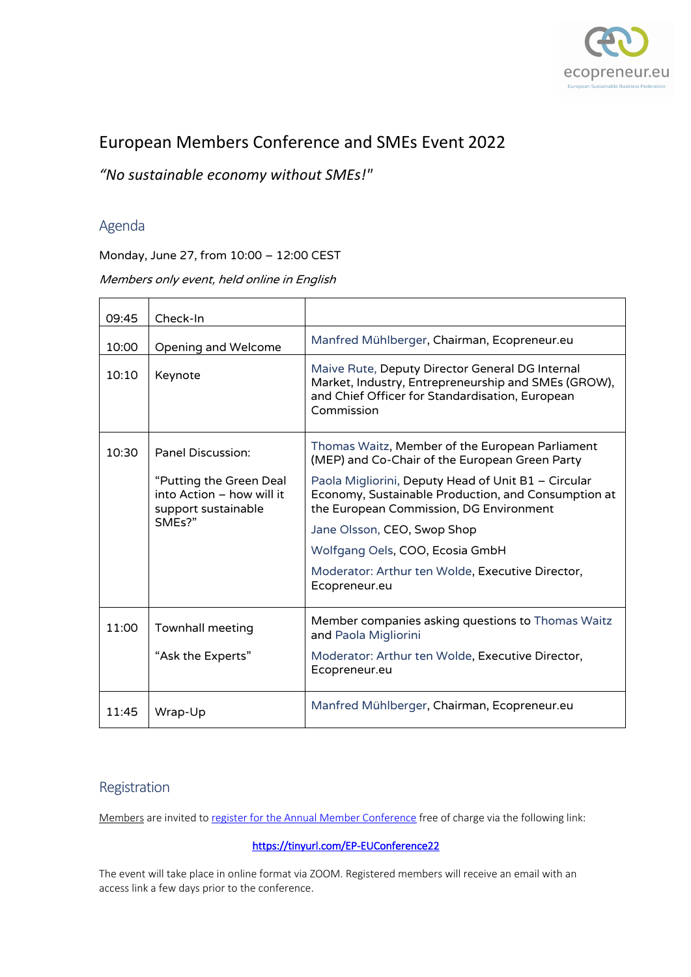

# European Members Conference and SMEs Event 2022

*"No sustainable economy without SMEs!"*

# Agenda

Monday, June 27, from 10:00 – 12:00 CEST

Members only event, held online in English

| 09:45 | Check-In                                                                    |                                                                                                                                                                         |
|-------|-----------------------------------------------------------------------------|-------------------------------------------------------------------------------------------------------------------------------------------------------------------------|
| 10:00 | Opening and Welcome                                                         | Manfred Mühlberger, Chairman, Ecopreneur.eu                                                                                                                             |
| 10:10 | Keynote                                                                     | Maive Rute, Deputy Director General DG Internal<br>Market, Industry, Entrepreneurship and SMEs (GROW),<br>and Chief Officer for Standardisation, European<br>Commission |
| 10:30 | <b>Panel Discussion:</b>                                                    | Thomas Waitz, Member of the European Parliament<br>(MEP) and Co-Chair of the European Green Party                                                                       |
|       | "Putting the Green Deal<br>into Action - how will it<br>support sustainable | Paola Migliorini, Deputy Head of Unit B1 - Circular<br>Economy, Sustainable Production, and Consumption at<br>the European Commission, DG Environment                   |
|       | SMEs?"                                                                      | Jane Olsson, CEO, Swop Shop                                                                                                                                             |
|       |                                                                             | Wolfgang Oels, COO, Ecosia GmbH                                                                                                                                         |
|       |                                                                             | Moderator: Arthur ten Wolde, Executive Director,<br>Ecopreneur.eu                                                                                                       |
| 11:00 | Townhall meeting                                                            | Member companies asking questions to Thomas Waitz<br>and Paola Migliorini                                                                                               |
|       | "Ask the Experts"                                                           | Moderator: Arthur ten Wolde, Executive Director,<br>Ecopreneur.eu                                                                                                       |
| 11:45 | Wrap-Up                                                                     | Manfred Mühlberger, Chairman, Ecopreneur.eu                                                                                                                             |

# Registration

Members are invited to register for the Annual Member Conference free of charge via the following link:

### https://tinyurl.com/EP-EUConference22

The event will take place in online format via ZOOM. Registered members will receive an email with an access link a few days prior to the conference.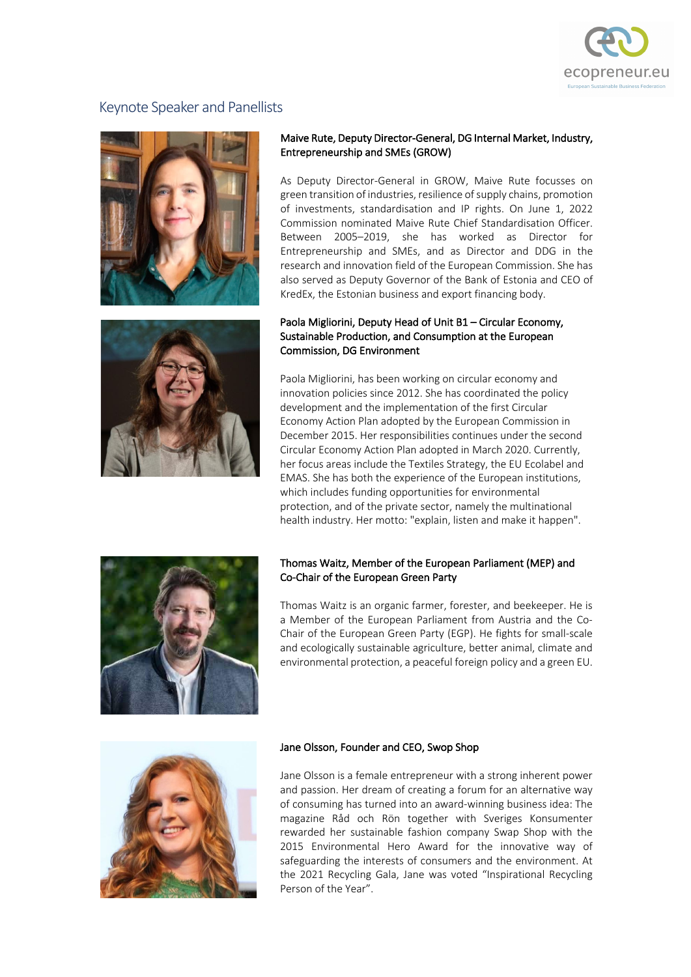

# Keynote Speaker and Panellists



#### Maive Rute, Deputy Director-General, DG Internal Market, Industry, Entrepreneurship and SMEs (GROW)

As Deputy Director-General in GROW, Maive Rute focusses on green transition of industries, resilience of supply chains, promotion of investments, standardisation and IP rights. On June 1, 2022 Commission nominated Maive Rute Chief Standardisation Officer. Between 2005–2019, she has worked as Director for Entrepreneurship and SMEs, and as Director and DDG in the research and innovation field of the European Commission. She has also served as Deputy Governor of the Bank of Estonia and CEO of KredEx, the Estonian business and export financing body.

#### Paola Migliorini, Deputy Head of Unit B1 – Circular Economy, Sustainable Production, and Consumption at the European Commission, DG Environment

Paola Migliorini, has been working on circular economy and innovation policies since 2012. She has coordinated the policy development and the implementation of the first Circular Economy Action Plan adopted by the European Commission in December 2015. Her responsibilities continues under the second Circular Economy Action Plan adopted in March 2020. Currently, her focus areas include the Textiles Strategy, the EU Ecolabel and EMAS. She has both the experience of the European institutions, which includes funding opportunities for environmental protection, and of the private sector, namely the multinational health industry. Her motto: "explain, listen and make it happen".



#### Thomas Waitz, Member of the European Parliament (MEP) and Co-Chair of the European Green Party

Thomas Waitz is an organic farmer, forester, and beekeeper. He is a Member of the European Parliament from Austria and the Co-Chair of the European Green Party (EGP). He fights for small-scale and ecologically sustainable agriculture, better animal, climate and environmental protection, a peaceful foreign policy and a green EU.



#### Jane Olsson, Founder and CEO, Swop Shop

Jane Olsson is a female entrepreneur with a strong inherent power and passion. Her dream of creating a forum for an alternative way of consuming has turned into an award-winning business idea: The magazine Råd och Rön together with Sveriges Konsumenter rewarded her sustainable fashion company Swap Shop with the 2015 Environmental Hero Award for the innovative way of safeguarding the interests of consumers and the environment. At the 2021 Recycling Gala, Jane was voted "Inspirational Recycling Person of the Year".